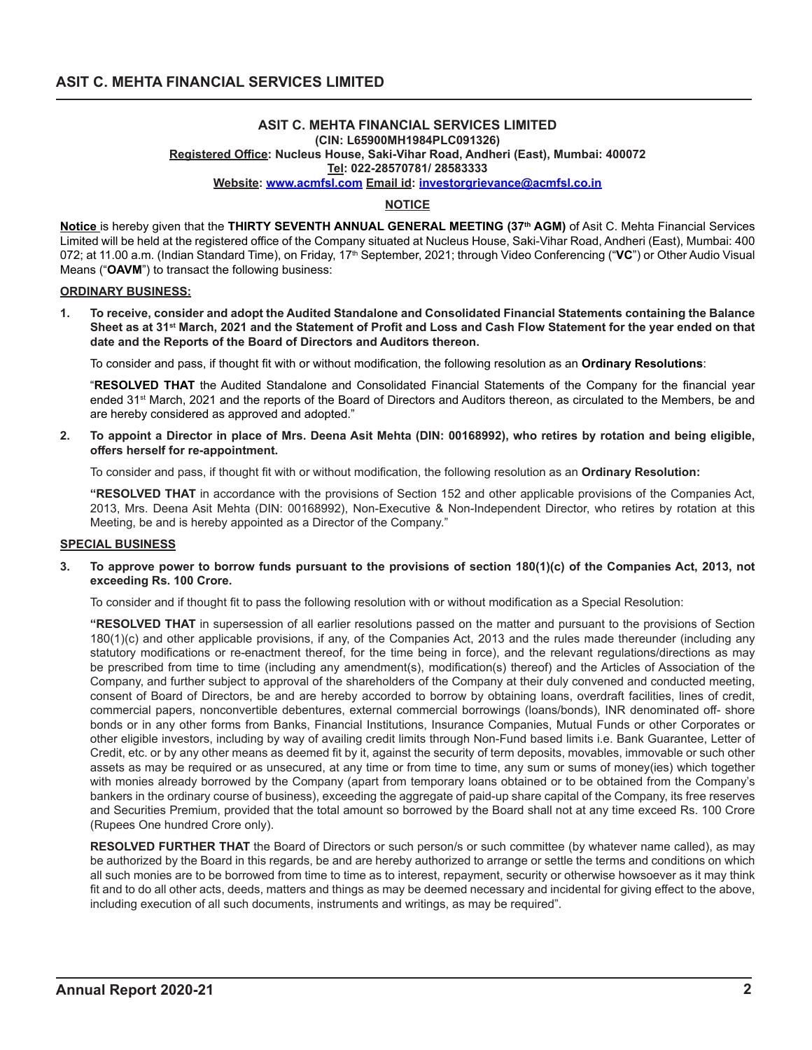#### **ASIT C. MEHTA FINANCIAL SERVICES LIMITED (CIN: L65900MH1984PLC091326) Registered Office: Nucleus House, Saki-Vihar Road, Andheri (East), Mumbai: 400072 Tel: 022-28570781/ 28583333 Website: www.acmfsl.com Email id: investorgrievance@acmfsl.co.in**

# **NOTICE**

**Notice** is hereby given that the **THIRTY SEVENTH ANNUAL GENERAL MEETING (37th AGM)** of Asit C. Mehta Financial Services Limited will be held at the registered office of the Company situated at Nucleus House, Saki-Vihar Road, Andheri (East), Mumbai: 400 072; at 11.00 a.m. (Indian Standard Time), on Friday, 17<sup>th</sup> September, 2021; through Video Conferencing ("VC") or Other Audio Visual Means ("**OAVM**") to transact the following business:

### **ORDINARY BUSINESS:**

**1. To receive, consider and adopt the Audited Standalone and Consolidated Financial Statements containing the Balance Sheet as at 31st March, 2021 and the Statement of Profit and Loss and Cash Flow Statement for the year ended on that date and the Reports of the Board of Directors and Auditors thereon.**

To consider and pass, if thought fit with or without modification, the following resolution as an **Ordinary Resolutions**:

"**RESOLVED THAT** the Audited Standalone and Consolidated Financial Statements of the Company for the financial year ended 31<sup>st</sup> March, 2021 and the reports of the Board of Directors and Auditors thereon, as circulated to the Members, be and are hereby considered as approved and adopted."

**2. To appoint a Director in place of Mrs. Deena Asit Mehta (DIN: 00168992), who retires by rotation and being eligible, offers herself for re-appointment.**

To consider and pass, if thought fit with or without modification, the following resolution as an **Ordinary Resolution:**

**"RESOLVED THAT** in accordance with the provisions of Section 152 and other applicable provisions of the Companies Act, 2013, Mrs. Deena Asit Mehta (DIN: 00168992), Non-Executive & Non-Independent Director, who retires by rotation at this Meeting, be and is hereby appointed as a Director of the Company."

### **SPECIAL BUSINESS**

### **3. To approve power to borrow funds pursuant to the provisions of section 180(1)(c) of the Companies Act, 2013, not exceeding Rs. 100 Crore.**

To consider and if thought fit to pass the following resolution with or without modification as a Special Resolution:

**"RESOLVED THAT** in supersession of all earlier resolutions passed on the matter and pursuant to the provisions of Section 180(1)(c) and other applicable provisions, if any, of the Companies Act, 2013 and the rules made thereunder (including any statutory modifications or re-enactment thereof, for the time being in force), and the relevant regulations/directions as may be prescribed from time to time (including any amendment(s), modification(s) thereof) and the Articles of Association of the Company, and further subject to approval of the shareholders of the Company at their duly convened and conducted meeting, consent of Board of Directors, be and are hereby accorded to borrow by obtaining loans, overdraft facilities, lines of credit, commercial papers, nonconvertible debentures, external commercial borrowings (loans/bonds), INR denominated off- shore bonds or in any other forms from Banks, Financial Institutions, Insurance Companies, Mutual Funds or other Corporates or other eligible investors, including by way of availing credit limits through Non-Fund based limits i.e. Bank Guarantee, Letter of Credit, etc. or by any other means as deemed fit by it, against the security of term deposits, movables, immovable or such other assets as may be required or as unsecured, at any time or from time to time, any sum or sums of money(ies) which together with monies already borrowed by the Company (apart from temporary loans obtained or to be obtained from the Company's bankers in the ordinary course of business), exceeding the aggregate of paid-up share capital of the Company, its free reserves and Securities Premium, provided that the total amount so borrowed by the Board shall not at any time exceed Rs. 100 Crore (Rupees One hundred Crore only).

**RESOLVED FURTHER THAT** the Board of Directors or such person/s or such committee (by whatever name called), as may be authorized by the Board in this regards, be and are hereby authorized to arrange or settle the terms and conditions on which all such monies are to be borrowed from time to time as to interest, repayment, security or otherwise howsoever as it may think fit and to do all other acts, deeds, matters and things as may be deemed necessary and incidental for giving effect to the above, including execution of all such documents, instruments and writings, as may be required".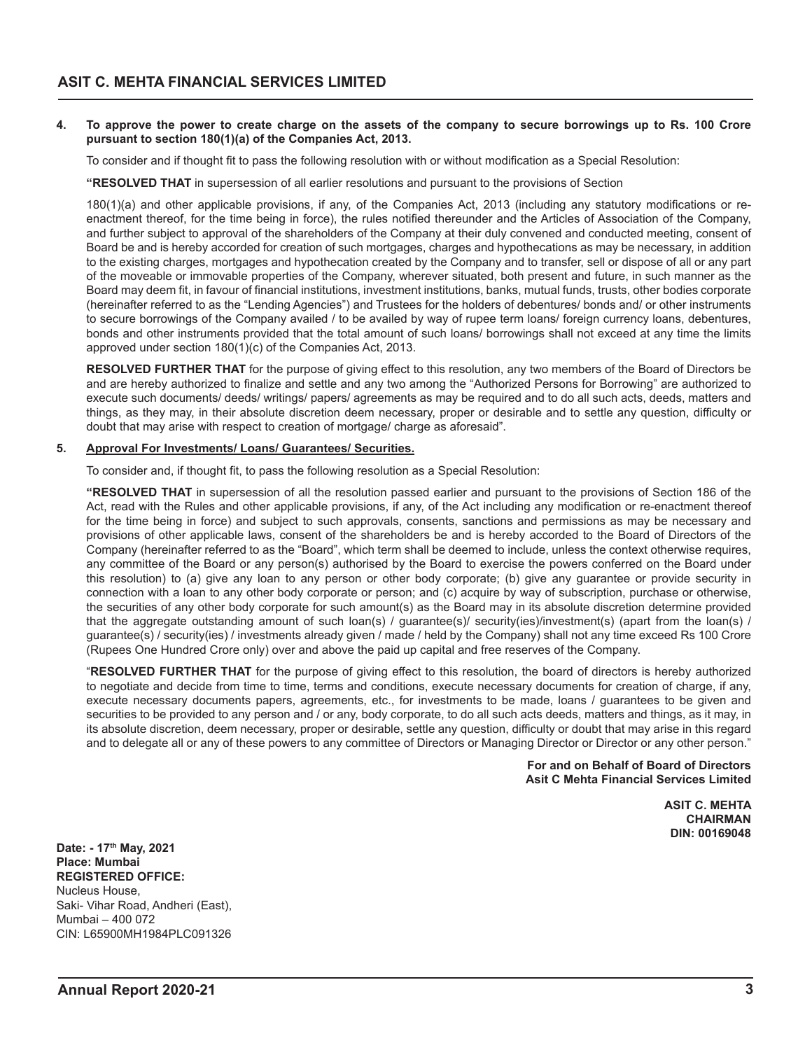### **4. To approve the power to create charge on the assets of the company to secure borrowings up to Rs. 100 Crore pursuant to section 180(1)(a) of the Companies Act, 2013.**

To consider and if thought fit to pass the following resolution with or without modification as a Special Resolution:

**"RESOLVED THAT** in supersession of all earlier resolutions and pursuant to the provisions of Section

180(1)(a) and other applicable provisions, if any, of the Companies Act, 2013 (including any statutory modifications or reenactment thereof, for the time being in force), the rules notified thereunder and the Articles of Association of the Company, and further subject to approval of the shareholders of the Company at their duly convened and conducted meeting, consent of Board be and is hereby accorded for creation of such mortgages, charges and hypothecations as may be necessary, in addition to the existing charges, mortgages and hypothecation created by the Company and to transfer, sell or dispose of all or any part of the moveable or immovable properties of the Company, wherever situated, both present and future, in such manner as the Board may deem fit, in favour of financial institutions, investment institutions, banks, mutual funds, trusts, other bodies corporate (hereinafter referred to as the "Lending Agencies") and Trustees for the holders of debentures/ bonds and/ or other instruments to secure borrowings of the Company availed / to be availed by way of rupee term loans/ foreign currency loans, debentures, bonds and other instruments provided that the total amount of such loans/ borrowings shall not exceed at any time the limits approved under section 180(1)(c) of the Companies Act, 2013.

**RESOLVED FURTHER THAT** for the purpose of giving effect to this resolution, any two members of the Board of Directors be and are hereby authorized to finalize and settle and any two among the "Authorized Persons for Borrowing" are authorized to execute such documents/ deeds/ writings/ papers/ agreements as may be required and to do all such acts, deeds, matters and things, as they may, in their absolute discretion deem necessary, proper or desirable and to settle any question, difficulty or doubt that may arise with respect to creation of mortgage/ charge as aforesaid".

# **5. Approval For Investments/ Loans/ Guarantees/ Securities.**

To consider and, if thought fit, to pass the following resolution as a Special Resolution:

**"RESOLVED THAT** in supersession of all the resolution passed earlier and pursuant to the provisions of Section 186 of the Act, read with the Rules and other applicable provisions, if any, of the Act including any modification or re-enactment thereof for the time being in force) and subject to such approvals, consents, sanctions and permissions as may be necessary and provisions of other applicable laws, consent of the shareholders be and is hereby accorded to the Board of Directors of the Company (hereinafter referred to as the "Board", which term shall be deemed to include, unless the context otherwise requires, any committee of the Board or any person(s) authorised by the Board to exercise the powers conferred on the Board under this resolution) to (a) give any loan to any person or other body corporate; (b) give any guarantee or provide security in connection with a loan to any other body corporate or person; and (c) acquire by way of subscription, purchase or otherwise, the securities of any other body corporate for such amount(s) as the Board may in its absolute discretion determine provided that the aggregate outstanding amount of such loan(s) / guarantee(s)/ security(ies)/investment(s) (apart from the loan(s) / guarantee(s) / security(ies) / investments already given / made / held by the Company) shall not any time exceed Rs 100 Crore (Rupees One Hundred Crore only) over and above the paid up capital and free reserves of the Company.

"**RESOLVED FURTHER THAT** for the purpose of giving effect to this resolution, the board of directors is hereby authorized to negotiate and decide from time to time, terms and conditions, execute necessary documents for creation of charge, if any, execute necessary documents papers, agreements, etc., for investments to be made, loans / guarantees to be given and securities to be provided to any person and / or any, body corporate, to do all such acts deeds, matters and things, as it may, in its absolute discretion, deem necessary, proper or desirable, settle any question, difficulty or doubt that may arise in this regard and to delegate all or any of these powers to any committee of Directors or Managing Director or Director or any other person."

> **For and on Behalf of Board of Directors Asit C Mehta Financial Services Limited**

> > **ASIT C. MEHTA CHAIRMAN DIN: 00169048**

**Date: - 17th May, 2021 Place: Mumbai REGISTERED OFFICE:** Nucleus House, Saki- Vihar Road, Andheri (East), Mumbai – 400 072 CIN: L65900MH1984PLC091326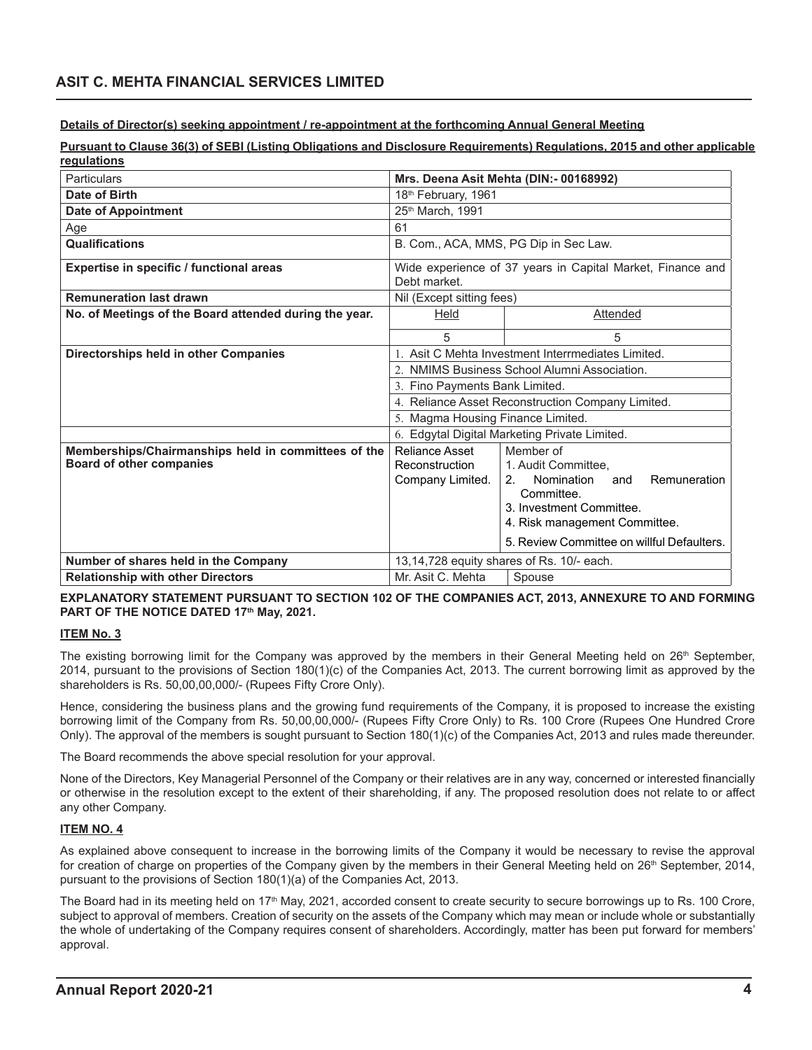# **ASIT C. MEHTA FINANCIAL SERVICES LIMITED**

**Details of Director(s) seeking appointment / re-appointment at the forthcoming Annual General Meeting**

**Pursuant to Clause 36(3) of SEBI (Listing Obligations and Disclosure Requirements) Regulations, 2015 and other applicable regulations**

| <b>Particulars</b>                                     | Mrs. Deena Asit Mehta (DIN:- 00168992)                                     |                                              |
|--------------------------------------------------------|----------------------------------------------------------------------------|----------------------------------------------|
| Date of Birth                                          | 18th February, 1961                                                        |                                              |
| <b>Date of Appointment</b>                             | 25 <sup>th</sup> March, 1991                                               |                                              |
| Age                                                    | 61                                                                         |                                              |
| <b>Qualifications</b>                                  | B. Com., ACA, MMS, PG Dip in Sec Law.                                      |                                              |
| Expertise in specific / functional areas               | Wide experience of 37 years in Capital Market, Finance and<br>Debt market. |                                              |
| <b>Remuneration last drawn</b>                         | Nil (Except sitting fees)                                                  |                                              |
| No. of Meetings of the Board attended during the year. | Held                                                                       | Attended                                     |
|                                                        | 5                                                                          | 5                                            |
| Directorships held in other Companies                  | 1. Asit C Mehta Investment Interrmediates Limited.                         |                                              |
|                                                        |                                                                            | 2. NMIMS Business School Alumni Association. |
|                                                        | 3. Fino Payments Bank Limited.                                             |                                              |
|                                                        | 4. Reliance Asset Reconstruction Company Limited.                          |                                              |
|                                                        | 5. Magma Housing Finance Limited.                                          |                                              |
|                                                        | 6. Edgytal Digital Marketing Private Limited.                              |                                              |
| Memberships/Chairmanships held in committees of the    | Reliance Asset                                                             | Member of                                    |
| <b>Board of other companies</b>                        | Reconstruction                                                             | 1. Audit Committee,                          |
|                                                        | Company Limited.                                                           | Remuneration<br>Nomination<br>2.<br>and      |
|                                                        |                                                                            | Committee<br>3. Investment Committee.        |
|                                                        |                                                                            | 4. Risk management Committee.                |
|                                                        |                                                                            |                                              |
|                                                        |                                                                            | 5. Review Committee on willful Defaulters.   |
| Number of shares held in the Company                   | 13,14,728 equity shares of Rs. 10/- each.                                  |                                              |
| <b>Relationship with other Directors</b>               | Mr. Asit C. Mehta                                                          | Spouse                                       |

# **EXPLANATORY STATEMENT PURSUANT TO SECTION 102 OF THE COMPANIES ACT, 2013, ANNEXURE TO AND FORMING**  PART OF THE NOTICE DATED 17<sup>th</sup> May, 2021.

# **ITEM No. 3**

The existing borrowing limit for the Company was approved by the members in their General Meeting held on  $26<sup>th</sup>$  September, 2014, pursuant to the provisions of Section 180(1)(c) of the Companies Act, 2013. The current borrowing limit as approved by the shareholders is Rs. 50,00,00,000/- (Rupees Fifty Crore Only).

Hence, considering the business plans and the growing fund requirements of the Company, it is proposed to increase the existing borrowing limit of the Company from Rs. 50,00,00,000/- (Rupees Fifty Crore Only) to Rs. 100 Crore (Rupees One Hundred Crore Only). The approval of the members is sought pursuant to Section 180(1)(c) of the Companies Act, 2013 and rules made thereunder.

The Board recommends the above special resolution for your approval.

None of the Directors, Key Managerial Personnel of the Company or their relatives are in any way, concerned or interested financially or otherwise in the resolution except to the extent of their shareholding, if any. The proposed resolution does not relate to or affect any other Company.

# **ITEM NO. 4**

As explained above consequent to increase in the borrowing limits of the Company it would be necessary to revise the approval for creation of charge on properties of the Company given by the members in their General Meeting held on 26<sup>th</sup> September, 2014, pursuant to the provisions of Section 180(1)(a) of the Companies Act, 2013.

The Board had in its meeting held on 17<sup>th</sup> May, 2021, accorded consent to create security to secure borrowings up to Rs. 100 Crore, subject to approval of members. Creation of security on the assets of the Company which may mean or include whole or substantially the whole of undertaking of the Company requires consent of shareholders. Accordingly, matter has been put forward for members' approval.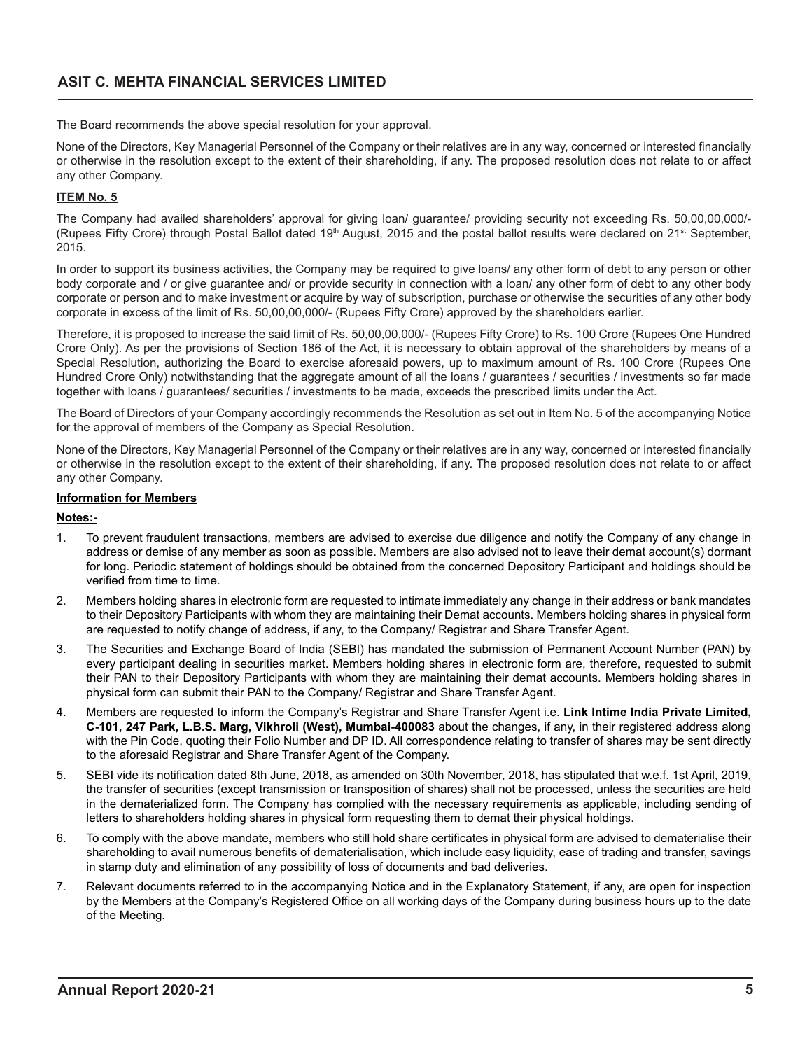The Board recommends the above special resolution for your approval.

None of the Directors, Key Managerial Personnel of the Company or their relatives are in any way, concerned or interested financially or otherwise in the resolution except to the extent of their shareholding, if any. The proposed resolution does not relate to or affect any other Company.

# **ITEM No. 5**

The Company had availed shareholders' approval for giving loan/ guarantee/ providing security not exceeding Rs. 50,00,00,000/- (Rupees Fifty Crore) through Postal Ballot dated 19<sup>th</sup> August, 2015 and the postal ballot results were declared on 21<sup>st</sup> September, 2015.

In order to support its business activities, the Company may be required to give loans/ any other form of debt to any person or other body corporate and / or give guarantee and/ or provide security in connection with a loan/ any other form of debt to any other body corporate or person and to make investment or acquire by way of subscription, purchase or otherwise the securities of any other body corporate in excess of the limit of Rs. 50,00,00,000/- (Rupees Fifty Crore) approved by the shareholders earlier.

Therefore, it is proposed to increase the said limit of Rs. 50,00,00,000/- (Rupees Fifty Crore) to Rs. 100 Crore (Rupees One Hundred Crore Only). As per the provisions of Section 186 of the Act, it is necessary to obtain approval of the shareholders by means of a Special Resolution, authorizing the Board to exercise aforesaid powers, up to maximum amount of Rs. 100 Crore (Rupees One Hundred Crore Only) notwithstanding that the aggregate amount of all the loans / guarantees / securities / investments so far made together with loans / guarantees/ securities / investments to be made, exceeds the prescribed limits under the Act.

The Board of Directors of your Company accordingly recommends the Resolution as set out in Item No. 5 of the accompanying Notice for the approval of members of the Company as Special Resolution.

None of the Directors, Key Managerial Personnel of the Company or their relatives are in any way, concerned or interested financially or otherwise in the resolution except to the extent of their shareholding, if any. The proposed resolution does not relate to or affect any other Company.

# **Information for Members**

# **Notes:-**

- 1. To prevent fraudulent transactions, members are advised to exercise due diligence and notify the Company of any change in address or demise of any member as soon as possible. Members are also advised not to leave their demat account(s) dormant for long. Periodic statement of holdings should be obtained from the concerned Depository Participant and holdings should be verified from time to time.
- 2. Members holding shares in electronic form are requested to intimate immediately any change in their address or bank mandates to their Depository Participants with whom they are maintaining their Demat accounts. Members holding shares in physical form are requested to notify change of address, if any, to the Company/ Registrar and Share Transfer Agent.
- 3. The Securities and Exchange Board of India (SEBI) has mandated the submission of Permanent Account Number (PAN) by every participant dealing in securities market. Members holding shares in electronic form are, therefore, requested to submit their PAN to their Depository Participants with whom they are maintaining their demat accounts. Members holding shares in physical form can submit their PAN to the Company/ Registrar and Share Transfer Agent.
- 4. Members are requested to inform the Company's Registrar and Share Transfer Agent i.e. **Link Intime India Private Limited, C-101, 247 Park, L.B.S. Marg, Vikhroli (West), Mumbai-400083** about the changes, if any, in their registered address along with the Pin Code, quoting their Folio Number and DP ID. All correspondence relating to transfer of shares may be sent directly to the aforesaid Registrar and Share Transfer Agent of the Company.
- 5. SEBI vide its notification dated 8th June, 2018, as amended on 30th November, 2018, has stipulated that w.e.f. 1st April, 2019, the transfer of securities (except transmission or transposition of shares) shall not be processed, unless the securities are held in the dematerialized form. The Company has complied with the necessary requirements as applicable, including sending of letters to shareholders holding shares in physical form requesting them to demat their physical holdings.
- 6. To comply with the above mandate, members who still hold share certificates in physical form are advised to dematerialise their shareholding to avail numerous benefits of dematerialisation, which include easy liquidity, ease of trading and transfer, savings in stamp duty and elimination of any possibility of loss of documents and bad deliveries.
- 7. Relevant documents referred to in the accompanying Notice and in the Explanatory Statement, if any, are open for inspection by the Members at the Company's Registered Office on all working days of the Company during business hours up to the date of the Meeting.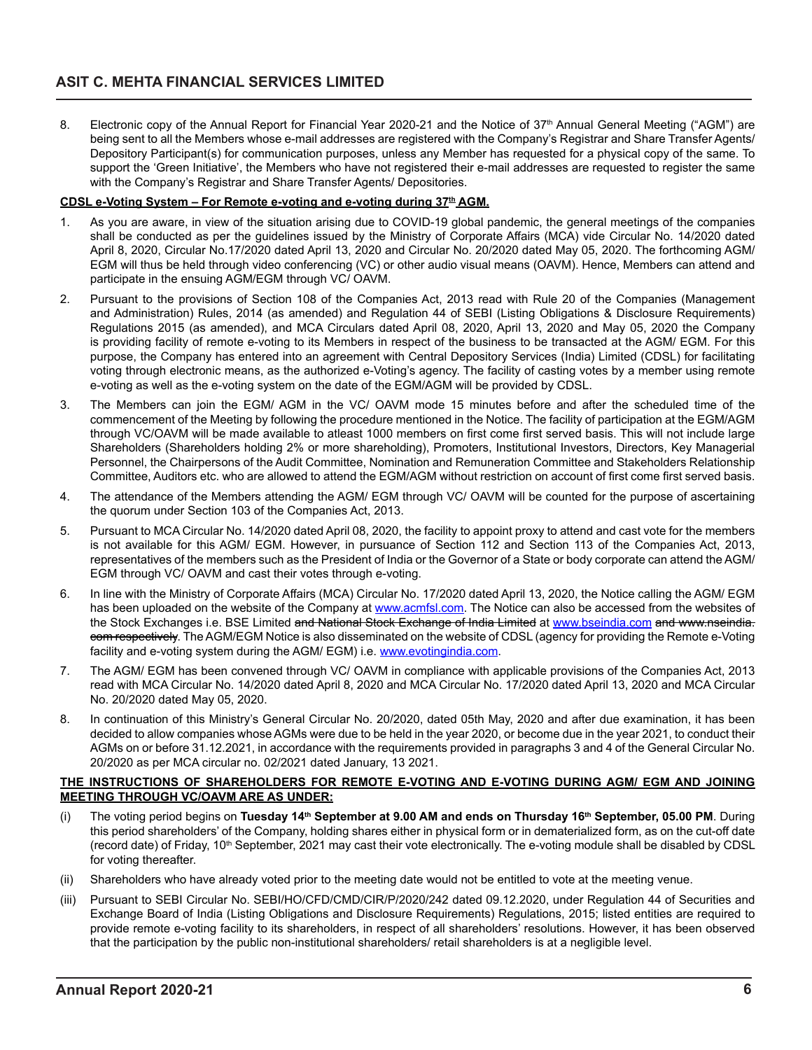8. Electronic copy of the Annual Report for Financial Year 2020-21 and the Notice of 37<sup>th</sup> Annual General Meeting ("AGM") are being sent to all the Members whose e-mail addresses are registered with the Company's Registrar and Share Transfer Agents/ Depository Participant(s) for communication purposes, unless any Member has requested for a physical copy of the same. To support the 'Green Initiative', the Members who have not registered their e-mail addresses are requested to register the same with the Company's Registrar and Share Transfer Agents/ Depositories.

# **CDSL e-Voting System – For Remote e-voting and e-voting during 37th AGM.**

- 1. As you are aware, in view of the situation arising due to COVID-19 global pandemic, the general meetings of the companies shall be conducted as per the guidelines issued by the Ministry of Corporate Affairs (MCA) vide Circular No. 14/2020 dated April 8, 2020, Circular No.17/2020 dated April 13, 2020 and Circular No. 20/2020 dated May 05, 2020. The forthcoming AGM/ EGM will thus be held through video conferencing (VC) or other audio visual means (OAVM). Hence, Members can attend and participate in the ensuing AGM/EGM through VC/ OAVM.
- 2. Pursuant to the provisions of Section 108 of the Companies Act, 2013 read with Rule 20 of the Companies (Management and Administration) Rules, 2014 (as amended) and Regulation 44 of SEBI (Listing Obligations & Disclosure Requirements) Regulations 2015 (as amended), and MCA Circulars dated April 08, 2020, April 13, 2020 and May 05, 2020 the Company is providing facility of remote e-voting to its Members in respect of the business to be transacted at the AGM/ EGM. For this purpose, the Company has entered into an agreement with Central Depository Services (India) Limited (CDSL) for facilitating voting through electronic means, as the authorized e-Voting's agency. The facility of casting votes by a member using remote e-voting as well as the e-voting system on the date of the EGM/AGM will be provided by CDSL.
- 3. The Members can join the EGM/ AGM in the VC/ OAVM mode 15 minutes before and after the scheduled time of the commencement of the Meeting by following the procedure mentioned in the Notice. The facility of participation at the EGM/AGM through VC/OAVM will be made available to atleast 1000 members on first come first served basis. This will not include large Shareholders (Shareholders holding 2% or more shareholding), Promoters, Institutional Investors, Directors, Key Managerial Personnel, the Chairpersons of the Audit Committee, Nomination and Remuneration Committee and Stakeholders Relationship Committee, Auditors etc. who are allowed to attend the EGM/AGM without restriction on account of first come first served basis.
- 4. The attendance of the Members attending the AGM/ EGM through VC/ OAVM will be counted for the purpose of ascertaining the quorum under Section 103 of the Companies Act, 2013.
- 5. Pursuant to MCA Circular No. 14/2020 dated April 08, 2020, the facility to appoint proxy to attend and cast vote for the members is not available for this AGM/ EGM. However, in pursuance of Section 112 and Section 113 of the Companies Act, 2013, representatives of the members such as the President of India or the Governor of a State or body corporate can attend the AGM/ EGM through VC/ OAVM and cast their votes through e-voting.
- 6. In line with the Ministry of Corporate Affairs (MCA) Circular No. 17/2020 dated April 13, 2020, the Notice calling the AGM/ EGM has been uploaded on the website of the Company at www.acmfsl.com. The Notice can also be accessed from the websites of the Stock Exchanges i.e. BSE Limited and National Stock Exchange of India Limited at www.bseindia.com and www.nseindia. com respectively. The AGM/EGM Notice is also disseminated on the website of CDSL (agency for providing the Remote e-Voting facility and e-voting system during the AGM/ EGM) i.e. www.evotingindia.com.
- 7. The AGM/ EGM has been convened through VC/ OAVM in compliance with applicable provisions of the Companies Act, 2013 read with MCA Circular No. 14/2020 dated April 8, 2020 and MCA Circular No. 17/2020 dated April 13, 2020 and MCA Circular No. 20/2020 dated May 05, 2020.
- 8. In continuation of this Ministry's General Circular No. 20/2020, dated 05th May, 2020 and after due examination, it has been decided to allow companies whose AGMs were due to be held in the year 2020, or become due in the year 2021, to conduct their AGMs on or before 31.12.2021, in accordance with the requirements provided in paragraphs 3 and 4 of the General Circular No. 20/2020 as per MCA circular no. 02/2021 dated January, 13 2021.

### **THE INSTRUCTIONS OF SHAREHOLDERS FOR REMOTE E-VOTING AND E-VOTING DURING AGM/ EGM AND JOINING MEETING THROUGH VC/OAVM ARE AS UNDER:**

- (i) The voting period begins on **Tuesday 14th September at 9.00 AM and ends on Thursday 16th September, 05.00 PM**. During this period shareholders' of the Company, holding shares either in physical form or in dematerialized form, as on the cut-off date (record date) of Friday, 10<sup>th</sup> September, 2021 may cast their vote electronically. The e-voting module shall be disabled by CDSL for voting thereafter.
- (ii) Shareholders who have already voted prior to the meeting date would not be entitled to vote at the meeting venue.
- (iii) Pursuant to SEBI Circular No. SEBI/HO/CFD/CMD/CIR/P/2020/242 dated 09.12.2020, under Regulation 44 of Securities and Exchange Board of India (Listing Obligations and Disclosure Requirements) Regulations, 2015; listed entities are required to provide remote e-voting facility to its shareholders, in respect of all shareholders' resolutions. However, it has been observed that the participation by the public non-institutional shareholders/ retail shareholders is at a negligible level.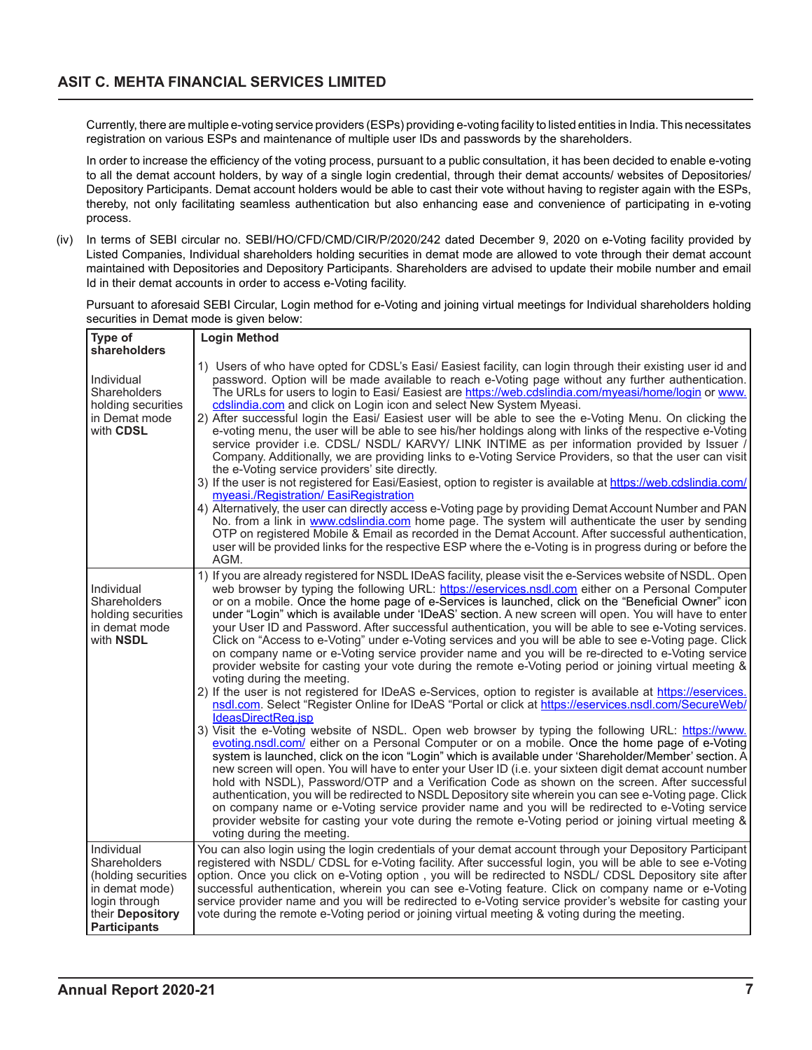Currently, there are multiple e-voting service providers (ESPs) providing e-voting facility to listed entities in India. This necessitates registration on various ESPs and maintenance of multiple user IDs and passwords by the shareholders.

In order to increase the efficiency of the voting process, pursuant to a public consultation, it has been decided to enable e-voting to all the demat account holders, by way of a single login credential, through their demat accounts/ websites of Depositories/ Depository Participants. Demat account holders would be able to cast their vote without having to register again with the ESPs, thereby, not only facilitating seamless authentication but also enhancing ease and convenience of participating in e-voting process.

(iv) In terms of SEBI circular no. SEBI/HO/CFD/CMD/CIR/P/2020/242 dated December 9, 2020 on e-Voting facility provided by Listed Companies, Individual shareholders holding securities in demat mode are allowed to vote through their demat account maintained with Depositories and Depository Participants. Shareholders are advised to update their mobile number and email Id in their demat accounts in order to access e-Voting facility.

Pursuant to aforesaid SEBI Circular, Login method for e-Voting and joining virtual meetings for Individual shareholders holding securities in Demat mode is given below:

| Type of<br>shareholders                                                                                                  | <b>Login Method</b>                                                                                                                                                                                                                                                                                                                                                                                                                                                                                                                                                                                                                                                                                                                                                                                                                                                                                                                                                                                                                                                                                                                                                                                                                                                                                                                                                                                                                                                                                                                                                                                                                                                                                                                                                                                                                                                                                                                                                                                                                 |
|--------------------------------------------------------------------------------------------------------------------------|-------------------------------------------------------------------------------------------------------------------------------------------------------------------------------------------------------------------------------------------------------------------------------------------------------------------------------------------------------------------------------------------------------------------------------------------------------------------------------------------------------------------------------------------------------------------------------------------------------------------------------------------------------------------------------------------------------------------------------------------------------------------------------------------------------------------------------------------------------------------------------------------------------------------------------------------------------------------------------------------------------------------------------------------------------------------------------------------------------------------------------------------------------------------------------------------------------------------------------------------------------------------------------------------------------------------------------------------------------------------------------------------------------------------------------------------------------------------------------------------------------------------------------------------------------------------------------------------------------------------------------------------------------------------------------------------------------------------------------------------------------------------------------------------------------------------------------------------------------------------------------------------------------------------------------------------------------------------------------------------------------------------------------------|
| Individual<br>Shareholders<br>holding securities<br>in Demat mode<br>with CDSL                                           | 1) Users of who have opted for CDSL's Easi/ Easiest facility, can login through their existing user id and<br>password. Option will be made available to reach e-Voting page without any further authentication.<br>The URLs for users to login to Easi/ Easiest are https://web.cdslindia.com/myeasi/home/login or www.<br>cdslindia.com and click on Login icon and select New System Myeasi.<br>2) After successful login the Easi/ Easiest user will be able to see the e-Voting Menu. On clicking the<br>e-voting menu, the user will be able to see his/her holdings along with links of the respective e-Voting<br>service provider i.e. CDSL/ NSDL/ KARVY/ LINK INTIME as per information provided by Issuer /<br>Company. Additionally, we are providing links to e-Voting Service Providers, so that the user can visit<br>the e-Voting service providers' site directly.<br>3) If the user is not registered for Easi/Easiest, option to register is available at https://web.cdslindia.com/<br>myeasi./Registration/ EasiRegistration<br>4) Alternatively, the user can directly access e-Voting page by providing Demat Account Number and PAN<br>No. from a link in www.cdslindia.com home page. The system will authenticate the user by sending<br>OTP on registered Mobile & Email as recorded in the Demat Account. After successful authentication,<br>user will be provided links for the respective ESP where the e-Voting is in progress during or before the<br>AGM.                                                                                                                                                                                                                                                                                                                                                                                                                                                                                                                                         |
| Individual<br>Shareholders<br>holding securities<br>in demat mode<br>with NSDL                                           | 1) If you are already registered for NSDL IDeAS facility, please visit the e-Services website of NSDL. Open<br>web browser by typing the following URL: https://eservices.nsdl.com either on a Personal Computer<br>or on a mobile. Once the home page of e-Services is launched, click on the "Beneficial Owner" icon<br>under "Login" which is available under 'IDeAS' section. A new screen will open. You will have to enter<br>your User ID and Password. After successful authentication, you will be able to see e-Voting services.<br>Click on "Access to e-Voting" under e-Voting services and you will be able to see e-Voting page. Click<br>on company name or e-Voting service provider name and you will be re-directed to e-Voting service<br>provider website for casting your vote during the remote e-Voting period or joining virtual meeting &<br>voting during the meeting.<br>2) If the user is not registered for IDeAS e-Services, option to register is available at https://eservices.<br>nsdl.com. Select "Register Online for IDeAS "Portal or click at https://eservices.nsdl.com/SecureWeb/<br>IdeasDirectReg.jsp<br>3) Visit the e-Voting website of NSDL. Open web browser by typing the following URL: https://www.<br>evoting nsdl.com/ either on a Personal Computer or on a mobile. Once the home page of e-Voting<br>system is launched, click on the icon "Login" which is available under 'Shareholder/Member' section. A<br>new screen will open. You will have to enter your User ID (i.e. your sixteen digit demat account number<br>hold with NSDL), Password/OTP and a Verification Code as shown on the screen. After successful<br>authentication, you will be redirected to NSDL Depository site wherein you can see e-Voting page. Click<br>on company name or e-Voting service provider name and you will be redirected to e-Voting service<br>provider website for casting your vote during the remote e-Voting period or joining virtual meeting &<br>voting during the meeting. |
| Individual<br>Shareholders<br>(holding securities<br>in demat mode)<br>login through<br>their Depository<br>Participants | You can also login using the login credentials of your demat account through your Depository Participant<br>registered with NSDL/ CDSL for e-Voting facility. After successful login, you will be able to see e-Voting<br>option. Once you click on e-Voting option, you will be redirected to NSDL/ CDSL Depository site after<br>successful authentication, wherein you can see e-Voting feature. Click on company name or e-Voting<br>service provider name and you will be redirected to e-Voting service provider's website for casting your<br>vote during the remote e-Voting period or joining virtual meeting & voting during the meeting.                                                                                                                                                                                                                                                                                                                                                                                                                                                                                                                                                                                                                                                                                                                                                                                                                                                                                                                                                                                                                                                                                                                                                                                                                                                                                                                                                                                 |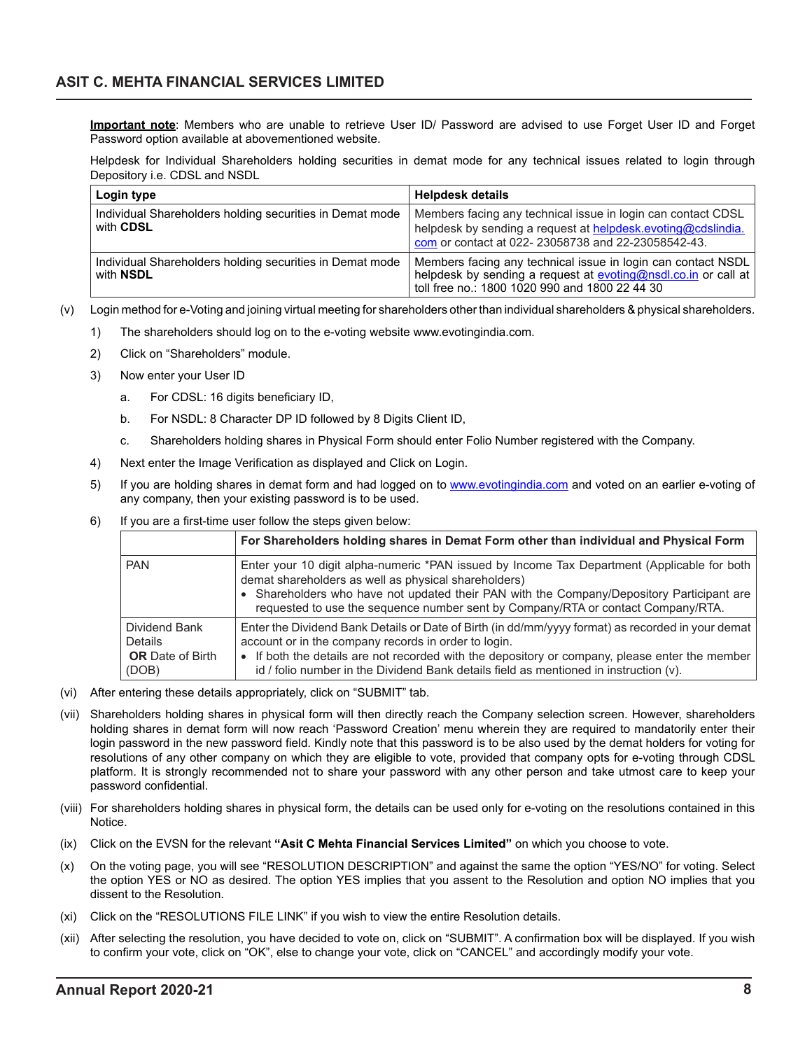**Important note**: Members who are unable to retrieve User ID/ Password are advised to use Forget User ID and Forget Password option available at abovementioned website.

Helpdesk for Individual Shareholders holding securities in demat mode for any technical issues related to login through Depository i.e. CDSL and NSDL

| Login type                                                                   | <b>Helpdesk details</b>                                                                                                                                                            |
|------------------------------------------------------------------------------|------------------------------------------------------------------------------------------------------------------------------------------------------------------------------------|
| Individual Shareholders holding securities in Demat mode<br>with CDSL        | Members facing any technical issue in login can contact CDSL<br>helpdesk by sending a request at helpdesk.evoting@cdslindia.<br>com or contact at 022-23058738 and 22-23058542-43. |
| Individual Shareholders holding securities in Demat mode<br>with <b>NSDL</b> | Members facing any technical issue in login can contact NSDL<br>helpdesk by sending a request at evoting@nsdl.co.in or call at<br>toll free no.: 1800 1020 990 and 1800 22 44 30   |

- (v) Login method for e-Voting and joining virtual meeting for shareholders other than individual shareholders & physical shareholders.
	- 1) The shareholders should log on to the e-voting website www.evotingindia.com.
	- 2) Click on "Shareholders" module.
	- 3) Now enter your User ID
		- a. For CDSL: 16 digits beneficiary ID,
		- b. For NSDL: 8 Character DP ID followed by 8 Digits Client ID,
		- c. Shareholders holding shares in Physical Form should enter Folio Number registered with the Company.
	- 4) Next enter the Image Verification as displayed and Click on Login.
	- 5) If you are holding shares in demat form and had logged on to www.evotingindia.com and voted on an earlier e-voting of any company, then your existing password is to be used.
	- 6) If you are a first-time user follow the steps given below:

|                                                                     | For Shareholders holding shares in Demat Form other than individual and Physical Form                                                                                                                                                                                                                                                                   |
|---------------------------------------------------------------------|---------------------------------------------------------------------------------------------------------------------------------------------------------------------------------------------------------------------------------------------------------------------------------------------------------------------------------------------------------|
| <b>PAN</b>                                                          | Enter your 10 digit alpha-numeric *PAN issued by Income Tax Department (Applicable for both<br>demat shareholders as well as physical shareholders)<br>• Shareholders who have not updated their PAN with the Company/Depository Participant are<br>requested to use the sequence number sent by Company/RTA or contact Company/RTA.                    |
| Dividend Bank<br><b>Details</b><br><b>OR</b> Date of Birth<br>(DOB) | Enter the Dividend Bank Details or Date of Birth (in dd/mm/yyyy format) as recorded in your demat<br>account or in the company records in order to login.<br>• If both the details are not recorded with the depository or company, please enter the member<br>id / folio number in the Dividend Bank details field as mentioned in instruction $(v)$ . |

- (vi) After entering these details appropriately, click on "SUBMIT" tab.
- (vii) Shareholders holding shares in physical form will then directly reach the Company selection screen. However, shareholders holding shares in demat form will now reach 'Password Creation' menu wherein they are required to mandatorily enter their login password in the new password field. Kindly note that this password is to be also used by the demat holders for voting for resolutions of any other company on which they are eligible to vote, provided that company opts for e-voting through CDSL platform. It is strongly recommended not to share your password with any other person and take utmost care to keep your password confidential.
- (viii) For shareholders holding shares in physical form, the details can be used only for e-voting on the resolutions contained in this Notice.
- (ix) Click on the EVSN for the relevant **"Asit C Mehta Financial Services Limited"** on which you choose to vote.
- (x) On the voting page, you will see "RESOLUTION DESCRIPTION" and against the same the option "YES/NO" for voting. Select the option YES or NO as desired. The option YES implies that you assent to the Resolution and option NO implies that you dissent to the Resolution.
- (xi) Click on the "RESOLUTIONS FILE LINK" if you wish to view the entire Resolution details.
- (xii) After selecting the resolution, you have decided to vote on, click on "SUBMIT". A confirmation box will be displayed. If you wish to confirm your vote, click on "OK", else to change your vote, click on "CANCEL" and accordingly modify your vote.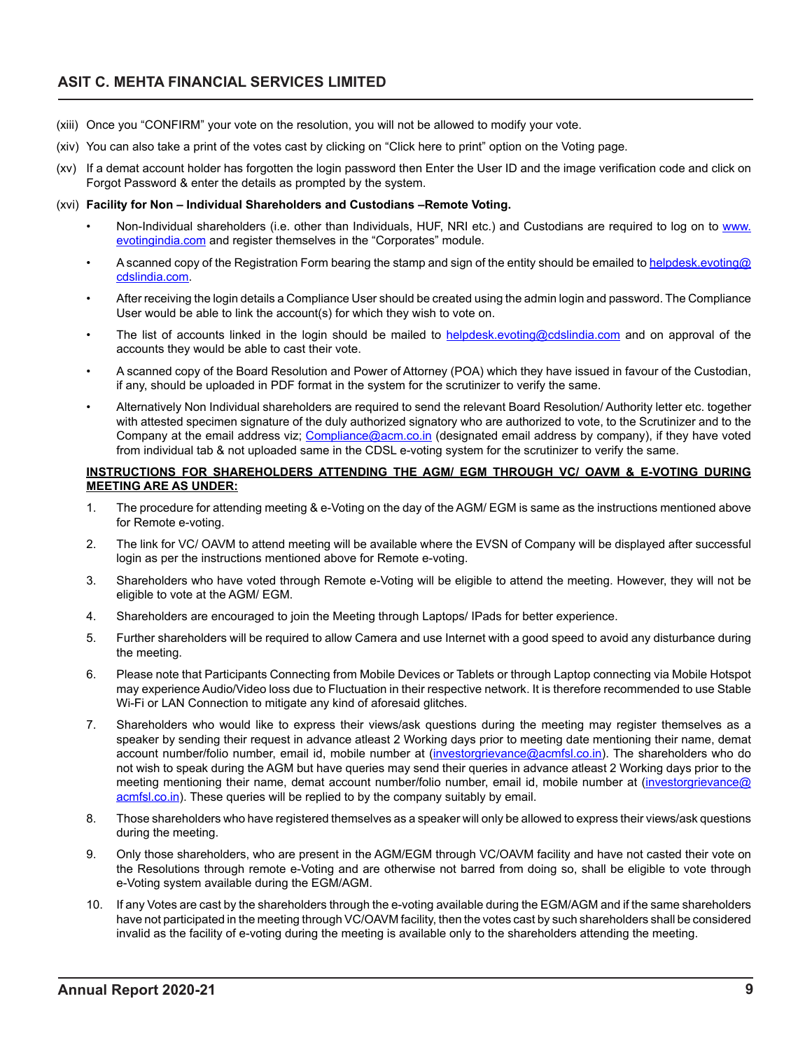# **ASIT C. MEHTA FINANCIAL SERVICES LIMITED**

- (xiii) Once you "CONFIRM" your vote on the resolution, you will not be allowed to modify your vote.
- (xiv) You can also take a print of the votes cast by clicking on "Click here to print" option on the Voting page.
- (xv) If a demat account holder has forgotten the login password then Enter the User ID and the image verification code and click on Forgot Password & enter the details as prompted by the system.

#### (xvi) **Facility for Non – Individual Shareholders and Custodians –Remote Voting.**

- Non-Individual shareholders (i.e. other than Individuals, HUF, NRI etc.) and Custodians are required to log on to www. evotingindia.com and register themselves in the "Corporates" module.
- A scanned copy of the Registration Form bearing the stamp and sign of the entity should be emailed to helpdesk.evoting@ cdslindia.com.
- After receiving the login details a Compliance User should be created using the admin login and password. The Compliance User would be able to link the account(s) for which they wish to vote on.
- The list of accounts linked in the login should be mailed to helpdesk.evoting@cdslindia.com and on approval of the accounts they would be able to cast their vote.
- A scanned copy of the Board Resolution and Power of Attorney (POA) which they have issued in favour of the Custodian, if any, should be uploaded in PDF format in the system for the scrutinizer to verify the same.
- Alternatively Non Individual shareholders are required to send the relevant Board Resolution/ Authority letter etc. together with attested specimen signature of the duly authorized signatory who are authorized to vote, to the Scrutinizer and to the Company at the email address viz; Compliance@acm.co.in (designated email address by company), if they have voted from individual tab & not uploaded same in the CDSL e-voting system for the scrutinizer to verify the same.

### **INSTRUCTIONS FOR SHAREHOLDERS ATTENDING THE AGM/ EGM THROUGH VC/ OAVM & E-VOTING DURING MEETING ARE AS UNDER:**

- 1. The procedure for attending meeting & e-Voting on the day of the AGM/ EGM is same as the instructions mentioned above for Remote e-voting.
- 2. The link for VC/ OAVM to attend meeting will be available where the EVSN of Company will be displayed after successful login as per the instructions mentioned above for Remote e-voting.
- 3. Shareholders who have voted through Remote e-Voting will be eligible to attend the meeting. However, they will not be eligible to vote at the AGM/ EGM.
- 4. Shareholders are encouraged to join the Meeting through Laptops/ IPads for better experience.
- 5. Further shareholders will be required to allow Camera and use Internet with a good speed to avoid any disturbance during the meeting.
- 6. Please note that Participants Connecting from Mobile Devices or Tablets or through Laptop connecting via Mobile Hotspot may experience Audio/Video loss due to Fluctuation in their respective network. It is therefore recommended to use Stable Wi-Fi or LAN Connection to mitigate any kind of aforesaid glitches.
- 7. Shareholders who would like to express their views/ask questions during the meeting may register themselves as a speaker by sending their request in advance atleast 2 Working days prior to meeting date mentioning their name, demat account number/folio number, email id, mobile number at (investorgrievance@acmfsl.co.in). The shareholders who do not wish to speak during the AGM but have queries may send their queries in advance atleast 2 Working days prior to the meeting mentioning their name, demat account number/folio number, email id, mobile number at (investorgrievance@ acmfsl.co.in). These queries will be replied to by the company suitably by email.
- 8. Those shareholders who have registered themselves as a speaker will only be allowed to express their views/ask questions during the meeting.
- 9. Only those shareholders, who are present in the AGM/EGM through VC/OAVM facility and have not casted their vote on the Resolutions through remote e-Voting and are otherwise not barred from doing so, shall be eligible to vote through e-Voting system available during the EGM/AGM.
- 10. If any Votes are cast by the shareholders through the e-voting available during the EGM/AGM and if the same shareholders have not participated in the meeting through VC/OAVM facility, then the votes cast by such shareholders shall be considered invalid as the facility of e-voting during the meeting is available only to the shareholders attending the meeting.